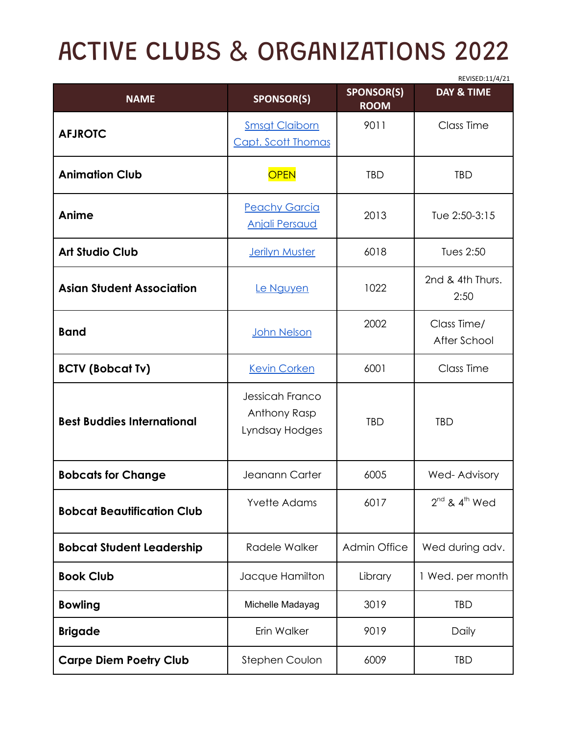## ACTIVE CLUBS & ORGANIZATIONS 2022

|                                   |                                                   |                                  | REVISED:11/4/21             |
|-----------------------------------|---------------------------------------------------|----------------------------------|-----------------------------|
| <b>NAME</b>                       | <b>SPONSOR(S)</b>                                 | <b>SPONSOR(S)</b><br><b>ROOM</b> | <b>DAY &amp; TIME</b>       |
| <b>AFJROTC</b>                    | <b>Smsgt Claiborn</b><br>Capt. Scott Thomas       | 9011                             | Class Time                  |
| <b>Animation Club</b>             | <b>OPEN</b>                                       | <b>TBD</b>                       | <b>TBD</b>                  |
| Anime                             | <b>Peachy Garcia</b><br><b>Anjali Persaud</b>     | 2013                             | Tue 2:50-3:15               |
| <b>Art Studio Club</b>            | <b>Jerilyn Muster</b>                             | 6018                             | Tues 2:50                   |
| <b>Asian Student Association</b>  | Le Nguyen                                         | 1022                             | 2nd & 4th Thurs.<br>2:50    |
| <b>Band</b>                       | John Nelson                                       | 2002                             | Class Time/<br>After School |
| <b>BCTV (Bobcat Tv)</b>           | <b>Kevin Corken</b>                               | 6001                             | Class Time                  |
| <b>Best Buddies International</b> | Jessicah Franco<br>Anthony Rasp<br>Lyndsay Hodges | <b>TBD</b>                       | <b>TBD</b>                  |
| <b>Bobcats for Change</b>         | Jeanann Carter                                    | 6005                             | Wed-Advisory                |
| <b>Bobcat Beautification Club</b> | <b>Yvette Adams</b>                               | 6017                             | $2^{nd}$ & $4^{th}$ Wed     |
| <b>Bobcat Student Leadership</b>  | Radele Walker                                     | <b>Admin Office</b>              | Wed during adv.             |
| <b>Book Club</b>                  | Jacque Hamilton                                   | Library                          | 1 Wed. per month            |
| <b>Bowling</b>                    | Michelle Madayag                                  | 3019                             | <b>TBD</b>                  |
| <b>Brigade</b>                    | Erin Walker                                       | 9019                             | Daily                       |
| <b>Carpe Diem Poetry Club</b>     | Stephen Coulon                                    | 6009                             | <b>TBD</b>                  |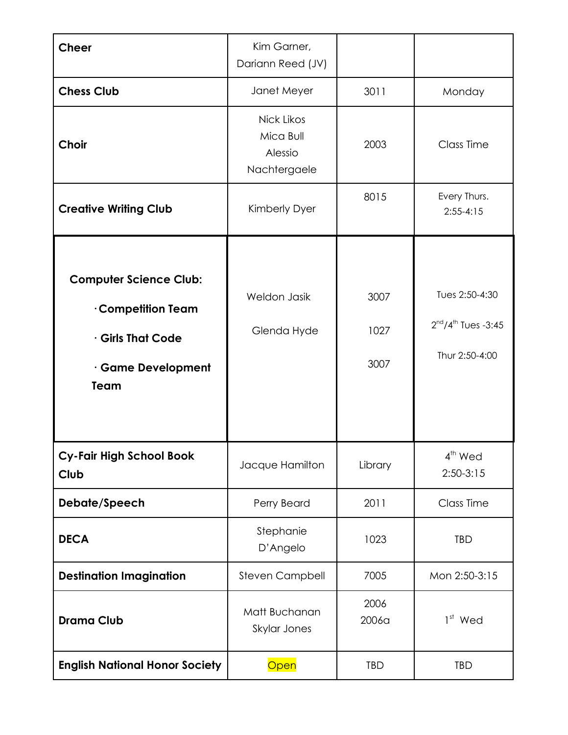| <b>Cheer</b>                                                                                              | Kim Garner,<br>Dariann Reed (JV)                   |                      |                                                                |
|-----------------------------------------------------------------------------------------------------------|----------------------------------------------------|----------------------|----------------------------------------------------------------|
| <b>Chess Club</b>                                                                                         | Janet Meyer                                        | 3011                 | Monday                                                         |
| <b>Choir</b>                                                                                              | Nick Likos<br>Mica Bull<br>Alessio<br>Nachtergaele | 2003                 | Class Time                                                     |
| <b>Creative Writing Club</b>                                                                              | Kimberly Dyer                                      | 8015                 | Every Thurs.<br>$2:55-4:15$                                    |
| <b>Computer Science Club:</b><br>Competition Team<br><b>Girls That Code</b><br>· Game Development<br>Team | Weldon Jasik<br>Glenda Hyde                        | 3007<br>1027<br>3007 | Tues 2:50-4:30<br>$2^{nd}/4^{th}$ Tues -3:45<br>Thur 2:50-4:00 |
| <b>Cy-Fair High School Book</b><br>Club                                                                   | Jacque Hamilton                                    | Library              | 4 <sup>th</sup> Wed<br>$2:50-3:15$                             |
| Debate/Speech                                                                                             | Perry Beard                                        | 2011                 | Class Time                                                     |
| <b>DECA</b>                                                                                               | Stephanie<br>D'Angelo                              | 1023                 | TBD                                                            |
| <b>Destination Imagination</b>                                                                            | <b>Steven Campbell</b>                             | 7005                 | Mon 2:50-3:15                                                  |
| <b>Drama Club</b>                                                                                         | Matt Buchanan<br>Skylar Jones                      | 2006<br>2006a        | $1st$ Wed                                                      |
| <b>English National Honor Society</b>                                                                     | Open                                               | TBD                  | <b>TBD</b>                                                     |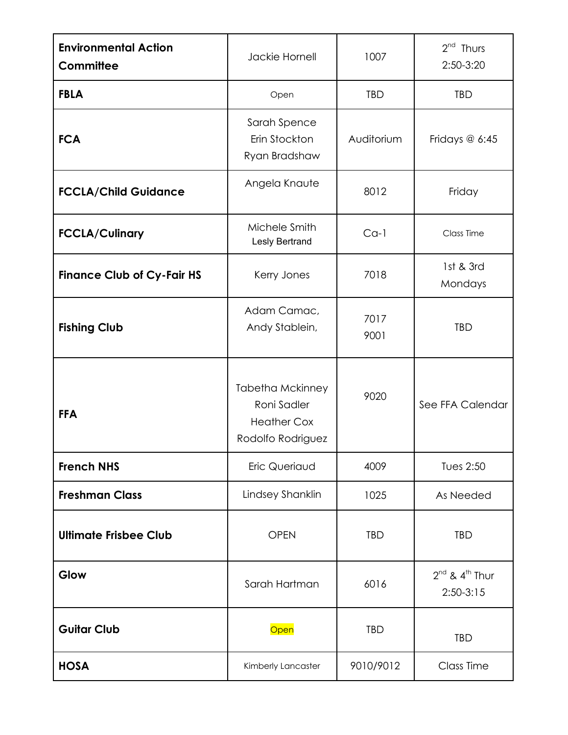| <b>Environmental Action</b><br><b>Committee</b> | Jackie Hornell                                                                    | 1007         | $2nd$ Thurs<br>2:50-3:20                |
|-------------------------------------------------|-----------------------------------------------------------------------------------|--------------|-----------------------------------------|
| <b>FBLA</b>                                     | Open                                                                              | TBD          | <b>TBD</b>                              |
| <b>FCA</b>                                      | Sarah Spence<br>Erin Stockton<br>Ryan Bradshaw                                    | Auditorium   | Fridays $@$ 6:45                        |
| <b>FCCLA/Child Guidance</b>                     | Angela Knaute                                                                     | 8012         | Friday                                  |
| <b>FCCLA/Culinary</b>                           | Michele Smith<br>Lesly Bertrand                                                   | $Ca-1$       | Class Time                              |
| <b>Finance Club of Cy-Fair HS</b>               | Kerry Jones                                                                       | 7018         | 1st & 3rd<br>Mondays                    |
| <b>Fishing Club</b>                             | Adam Camac,<br>Andy Stablein,                                                     | 7017<br>9001 | <b>TBD</b>                              |
| <b>FFA</b>                                      | <b>Tabetha Mckinney</b><br>Roni Sadler<br><b>Heather Cox</b><br>Rodolfo Rodriguez | 9020         | See FFA Calendar                        |
| <b>French NHS</b>                               | Eric Queriaud                                                                     | 4009         | Tues 2:50                               |
| <b>Freshman Class</b>                           | Lindsey Shanklin                                                                  | 1025         | As Needed                               |
| <b>Ultimate Frisbee Club</b>                    | <b>OPEN</b>                                                                       | <b>TBD</b>   | <b>TBD</b>                              |
| Glow                                            | Sarah Hartman                                                                     | 6016         | $2^{nd}$ & $4^{th}$ Thur<br>$2:50-3:15$ |
| <b>Guitar Club</b>                              | Open                                                                              | <b>TBD</b>   | <b>TBD</b>                              |
| <b>HOSA</b>                                     | Kimberly Lancaster                                                                | 9010/9012    | <b>Class Time</b>                       |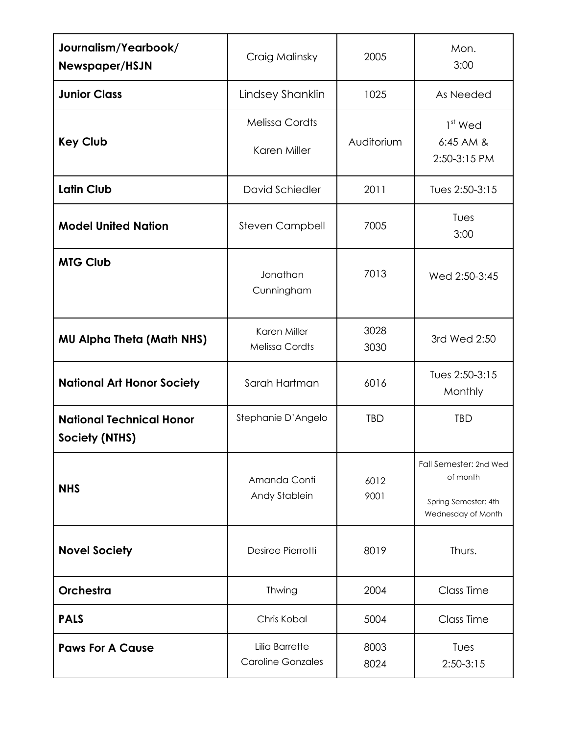| Journalism/Yearbook/<br>Newspaper/HSJN            | Craig Malinsky                             | 2005         | Mon.<br>3:00                                                                     |
|---------------------------------------------------|--------------------------------------------|--------------|----------------------------------------------------------------------------------|
| <b>Junior Class</b>                               | Lindsey Shanklin                           | 1025         | As Needed                                                                        |
| <b>Key Club</b>                                   | <b>Melissa Cordts</b><br>Karen Miller      | Auditorium   | $1st$ Wed<br>6:45 AM &<br>2:50-3:15 PM                                           |
| <b>Latin Club</b>                                 | David Schiedler                            | 2011         | Tues 2:50-3:15                                                                   |
| <b>Model United Nation</b>                        | <b>Steven Campbell</b>                     | 7005         | Tues<br>3:00                                                                     |
| <b>MTG Club</b>                                   | Jonathan<br>Cunningham                     | 7013         | Wed 2:50-3:45                                                                    |
| <b>MU Alpha Theta (Math NHS)</b>                  | Karen Miller<br><b>Melissa Cordts</b>      | 3028<br>3030 | 3rd Wed 2:50                                                                     |
| <b>National Art Honor Society</b>                 | Sarah Hartman                              | 6016         | Tues 2:50-3:15<br>Monthly                                                        |
| <b>National Technical Honor</b><br>Society (NTHS) | Stephanie D'Angelo                         | <b>TBD</b>   | <b>TBD</b>                                                                       |
| <b>NHS</b>                                        | Amanda Conti<br>Andy Stablein              | 6012<br>9001 | Fall Semester: 2nd Wed<br>of month<br>Spring Semester: 4th<br>Wednesday of Month |
| <b>Novel Society</b>                              | Desiree Pierrotti                          | 8019         | Thurs.                                                                           |
| Orchestra                                         | Thwing                                     | 2004         | Class Time                                                                       |
| <b>PALS</b>                                       | Chris Kobal                                | 5004         | Class Time                                                                       |
| <b>Paws For A Cause</b>                           | Lilia Barrette<br><b>Caroline Gonzales</b> | 8003<br>8024 | Tues<br>$2:50-3:15$                                                              |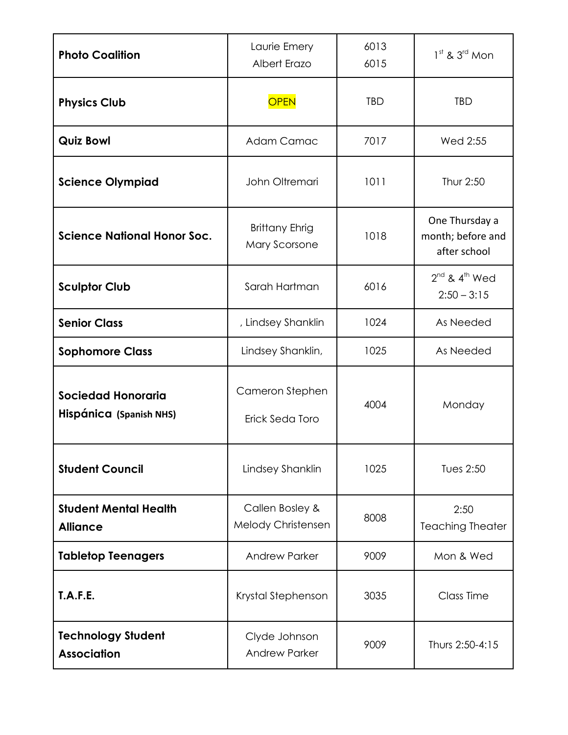| <b>Photo Coalition</b>                               | Laurie Emery<br>Albert Erazo           | 6013<br>6015 | $1st$ & $3rd$ Mon                                   |
|------------------------------------------------------|----------------------------------------|--------------|-----------------------------------------------------|
| <b>Physics Club</b>                                  | <b>OPEN</b>                            | <b>TBD</b>   | <b>TBD</b>                                          |
| <b>Quiz Bowl</b>                                     | Adam Camac                             | 7017         | Wed 2:55                                            |
| <b>Science Olympiad</b>                              | John Oltremari                         | 1011         | Thur 2:50                                           |
| <b>Science National Honor Soc.</b>                   | <b>Brittany Ehrig</b><br>Mary Scorsone | 1018         | One Thursday a<br>month; before and<br>after school |
| <b>Sculptor Club</b>                                 | Sarah Hartman                          | 6016         | $2^{nd}$ & $4^{th}$ Wed<br>$2:50 - 3:15$            |
| <b>Senior Class</b>                                  | , Lindsey Shanklin                     | 1024         | As Needed                                           |
| <b>Sophomore Class</b>                               | Lindsey Shanklin,                      | 1025         | As Needed                                           |
| <b>Sociedad Honoraria</b><br>Hispánica (Spanish NHS) | Cameron Stephen<br>Erick Seda Toro     | 4004         | Monday                                              |
| <b>Student Council</b>                               | Lindsey Shanklin                       | 1025         | Tues 2:50                                           |
| <b>Student Mental Health</b><br><b>Alliance</b>      | Callen Bosley &<br>Melody Christensen  | 8008         | 2:50<br><b>Teaching Theater</b>                     |
| <b>Tabletop Teenagers</b>                            | <b>Andrew Parker</b>                   | 9009         | Mon & Wed                                           |
| <b>T.A.F.E.</b>                                      | Krystal Stephenson                     | 3035         | Class Time                                          |
| <b>Technology Student</b><br><b>Association</b>      | Clyde Johnson<br><b>Andrew Parker</b>  | 9009         | Thurs 2:50-4:15                                     |